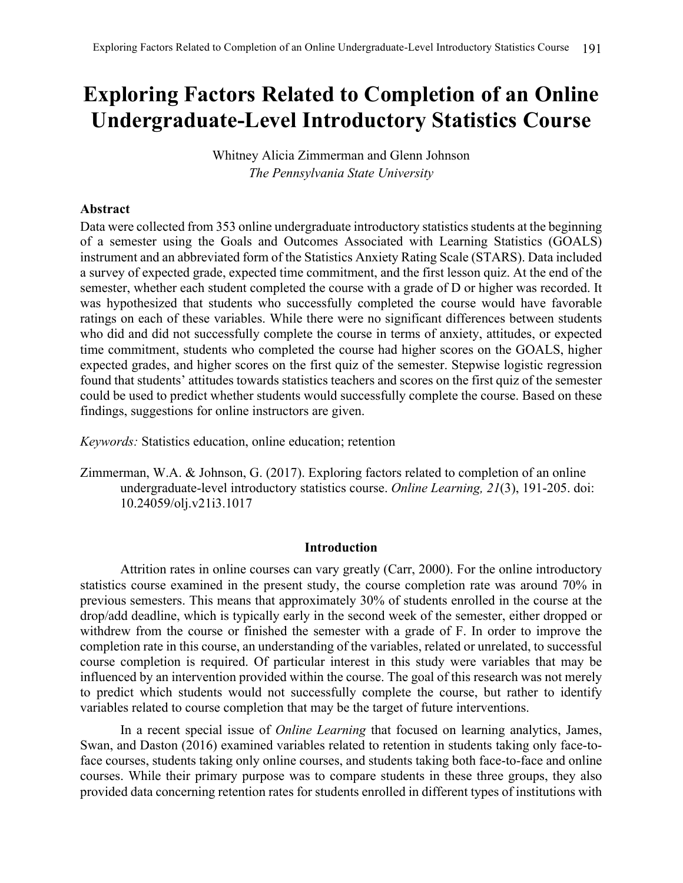# **Exploring Factors Related to Completion of an Online Undergraduate-Level Introductory Statistics Course**

Whitney Alicia Zimmerman and Glenn Johnson *The Pennsylvania State University*

# **Abstract**

Data were collected from 353 online undergraduate introductory statistics students at the beginning of a semester using the Goals and Outcomes Associated with Learning Statistics (GOALS) instrument and an abbreviated form of the Statistics Anxiety Rating Scale (STARS). Data included a survey of expected grade, expected time commitment, and the first lesson quiz. At the end of the semester, whether each student completed the course with a grade of D or higher was recorded. It was hypothesized that students who successfully completed the course would have favorable ratings on each of these variables. While there were no significant differences between students who did and did not successfully complete the course in terms of anxiety, attitudes, or expected time commitment, students who completed the course had higher scores on the GOALS, higher expected grades, and higher scores on the first quiz of the semester. Stepwise logistic regression found that students' attitudes towards statistics teachers and scores on the first quiz of the semester could be used to predict whether students would successfully complete the course. Based on these findings, suggestions for online instructors are given.

*Keywords:* Statistics education, online education; retention

Zimmerman, W.A. & Johnson, G. (2017). Exploring factors related to completion of an online undergraduate-level introductory statistics course. *Online Learning, 21*(3), 191-205. doi: 10.24059/olj.v21i3.1017

#### **Introduction**

Attrition rates in online courses can vary greatly (Carr, 2000). For the online introductory statistics course examined in the present study, the course completion rate was around 70% in previous semesters. This means that approximately 30% of students enrolled in the course at the drop/add deadline, which is typically early in the second week of the semester, either dropped or withdrew from the course or finished the semester with a grade of F. In order to improve the completion rate in this course, an understanding of the variables, related or unrelated, to successful course completion is required. Of particular interest in this study were variables that may be influenced by an intervention provided within the course. The goal of this research was not merely to predict which students would not successfully complete the course, but rather to identify variables related to course completion that may be the target of future interventions.

In a recent special issue of *Online Learning* that focused on learning analytics, James, Swan, and Daston (2016) examined variables related to retention in students taking only face-toface courses, students taking only online courses, and students taking both face-to-face and online courses. While their primary purpose was to compare students in these three groups, they also provided data concerning retention rates for students enrolled in different types of institutions with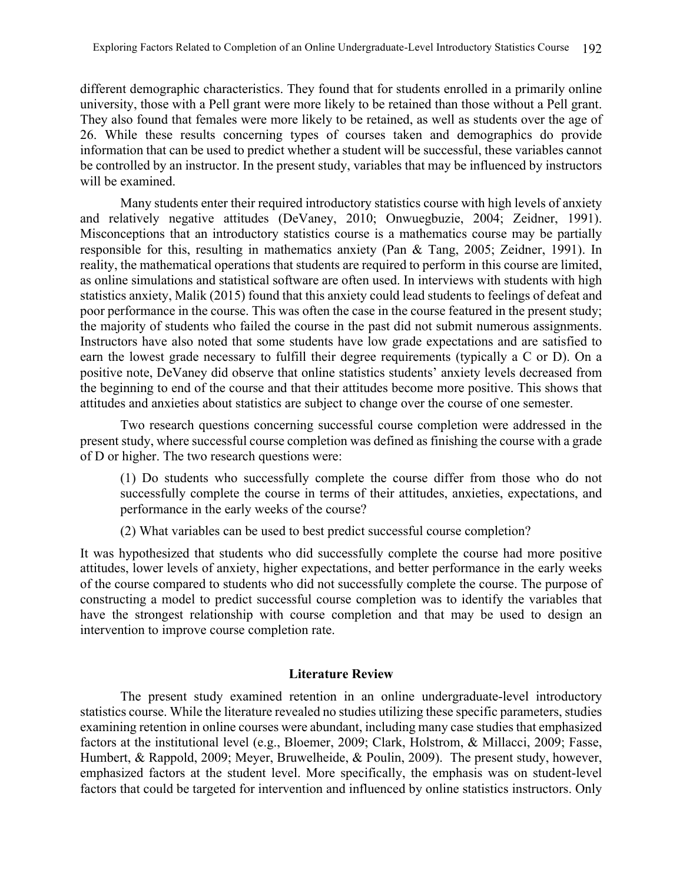different demographic characteristics. They found that for students enrolled in a primarily online university, those with a Pell grant were more likely to be retained than those without a Pell grant. They also found that females were more likely to be retained, as well as students over the age of 26. While these results concerning types of courses taken and demographics do provide information that can be used to predict whether a student will be successful, these variables cannot be controlled by an instructor. In the present study, variables that may be influenced by instructors will be examined.

Many students enter their required introductory statistics course with high levels of anxiety and relatively negative attitudes (DeVaney, 2010; Onwuegbuzie, 2004; Zeidner, 1991). Misconceptions that an introductory statistics course is a mathematics course may be partially responsible for this, resulting in mathematics anxiety (Pan & Tang, 2005; Zeidner, 1991). In reality, the mathematical operations that students are required to perform in this course are limited, as online simulations and statistical software are often used. In interviews with students with high statistics anxiety, Malik (2015) found that this anxiety could lead students to feelings of defeat and poor performance in the course. This was often the case in the course featured in the present study; the majority of students who failed the course in the past did not submit numerous assignments. Instructors have also noted that some students have low grade expectations and are satisfied to earn the lowest grade necessary to fulfill their degree requirements (typically a C or D). On a positive note, DeVaney did observe that online statistics students' anxiety levels decreased from the beginning to end of the course and that their attitudes become more positive. This shows that attitudes and anxieties about statistics are subject to change over the course of one semester.

Two research questions concerning successful course completion were addressed in the present study, where successful course completion was defined as finishing the course with a grade of D or higher. The two research questions were:

(1) Do students who successfully complete the course differ from those who do not successfully complete the course in terms of their attitudes, anxieties, expectations, and performance in the early weeks of the course?

(2) What variables can be used to best predict successful course completion?

It was hypothesized that students who did successfully complete the course had more positive attitudes, lower levels of anxiety, higher expectations, and better performance in the early weeks of the course compared to students who did not successfully complete the course. The purpose of constructing a model to predict successful course completion was to identify the variables that have the strongest relationship with course completion and that may be used to design an intervention to improve course completion rate.

## **Literature Review**

The present study examined retention in an online undergraduate-level introductory statistics course. While the literature revealed no studies utilizing these specific parameters, studies examining retention in online courses were abundant, including many case studies that emphasized factors at the institutional level (e.g., Bloemer, 2009; Clark, Holstrom, & Millacci, 2009; Fasse, Humbert, & Rappold, 2009; Meyer, Bruwelheide, & Poulin, 2009). The present study, however, emphasized factors at the student level. More specifically, the emphasis was on student-level factors that could be targeted for intervention and influenced by online statistics instructors. Only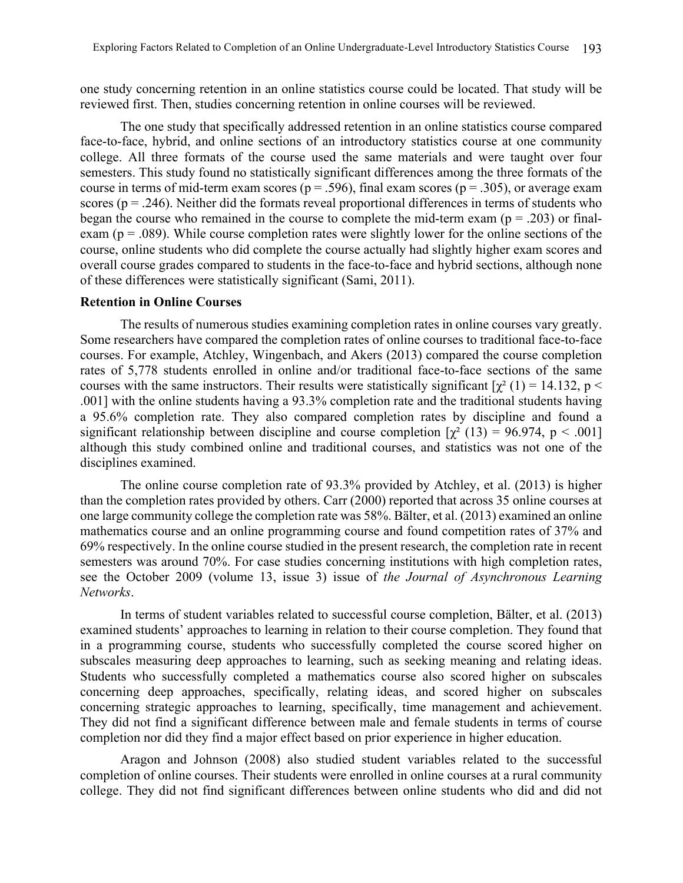one study concerning retention in an online statistics course could be located. That study will be reviewed first. Then, studies concerning retention in online courses will be reviewed.

The one study that specifically addressed retention in an online statistics course compared face-to-face, hybrid, and online sections of an introductory statistics course at one community college. All three formats of the course used the same materials and were taught over four semesters. This study found no statistically significant differences among the three formats of the course in terms of mid-term exam scores ( $p = .596$ ), final exam scores ( $p = .305$ ), or average exam scores ( $p = 0.246$ ). Neither did the formats reveal proportional differences in terms of students who began the course who remained in the course to complete the mid-term exam ( $p = .203$ ) or finalexam ( $p = .089$ ). While course completion rates were slightly lower for the online sections of the course, online students who did complete the course actually had slightly higher exam scores and overall course grades compared to students in the face-to-face and hybrid sections, although none of these differences were statistically significant (Sami, 2011).

# **Retention in Online Courses**

The results of numerous studies examining completion rates in online courses vary greatly. Some researchers have compared the completion rates of online courses to traditional face-to-face courses. For example, Atchley, Wingenbach, and Akers (2013) compared the course completion rates of 5,778 students enrolled in online and/or traditional face-to-face sections of the same courses with the same instructors. Their results were statistically significant  $[\chi^2 (1) = 14.132, p <$ .001] with the online students having a 93.3% completion rate and the traditional students having a 95.6% completion rate. They also compared completion rates by discipline and found a significant relationship between discipline and course completion  $[\chi^2(13) = 96.974, p < .001]$ although this study combined online and traditional courses, and statistics was not one of the disciplines examined.

The online course completion rate of 93.3% provided by Atchley, et al. (2013) is higher than the completion rates provided by others. Carr (2000) reported that across 35 online courses at one large community college the completion rate was 58%. Bälter, et al. (2013) examined an online mathematics course and an online programming course and found competition rates of 37% and 69% respectively. In the online course studied in the present research, the completion rate in recent semesters was around 70%. For case studies concerning institutions with high completion rates, see the October 2009 (volume 13, issue 3) issue of *the Journal of Asynchronous Learning Networks*.

In terms of student variables related to successful course completion, Bälter, et al. (2013) examined students' approaches to learning in relation to their course completion. They found that in a programming course, students who successfully completed the course scored higher on subscales measuring deep approaches to learning, such as seeking meaning and relating ideas. Students who successfully completed a mathematics course also scored higher on subscales concerning deep approaches, specifically, relating ideas, and scored higher on subscales concerning strategic approaches to learning, specifically, time management and achievement. They did not find a significant difference between male and female students in terms of course completion nor did they find a major effect based on prior experience in higher education.

Aragon and Johnson (2008) also studied student variables related to the successful completion of online courses. Their students were enrolled in online courses at a rural community college. They did not find significant differences between online students who did and did not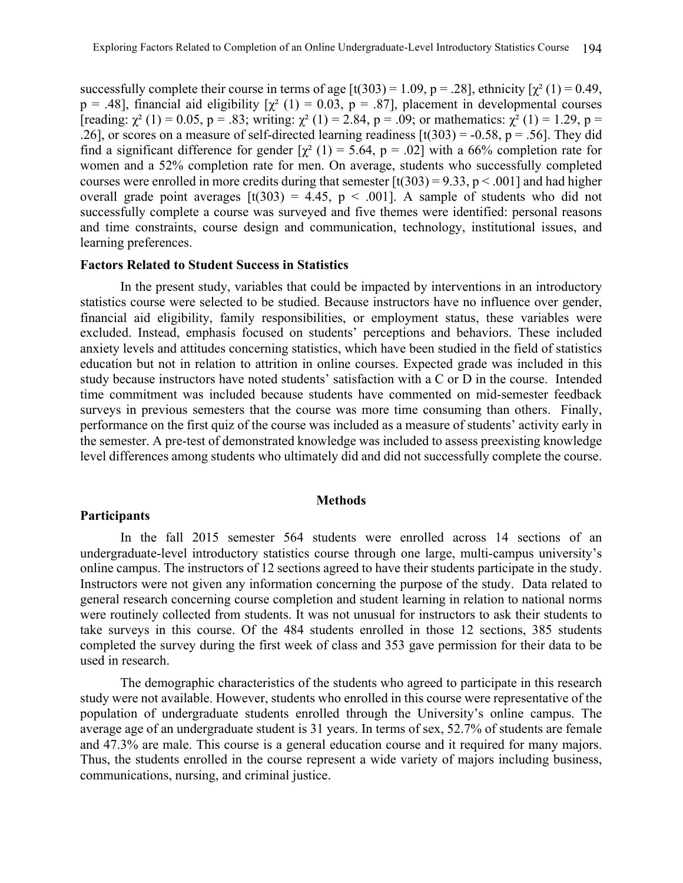successfully complete their course in terms of age  $[t(303) = 1.09, p = .28]$ , ethnicity  $[\chi^2(1) = 0.49,$  $p = .48$ ], financial aid eligibility  $[\chi^2(1) = 0.03, p = .87]$ , placement in developmental courses [reading:  $\chi^2$  (1) = 0.05, p = .83; writing:  $\chi^2$  (1) = 2.84, p = .09; or mathematics:  $\chi^2$  (1) = 1.29, p = .26], or scores on a measure of self-directed learning readiness  $[t(303) = -0.58, p = .56]$ . They did find a significant difference for gender  $[\chi^2 (1) = 5.64, p = .02]$  with a 66% completion rate for women and a 52% completion rate for men. On average, students who successfully completed courses were enrolled in more credits during that semester  $[t(303) = 9.33, p < .001]$  and had higher overall grade point averages  $[t(303) = 4.45, p < .001]$ . A sample of students who did not successfully complete a course was surveyed and five themes were identified: personal reasons and time constraints, course design and communication, technology, institutional issues, and learning preferences.

#### **Factors Related to Student Success in Statistics**

In the present study, variables that could be impacted by interventions in an introductory statistics course were selected to be studied. Because instructors have no influence over gender, financial aid eligibility, family responsibilities, or employment status, these variables were excluded. Instead, emphasis focused on students' perceptions and behaviors. These included anxiety levels and attitudes concerning statistics, which have been studied in the field of statistics education but not in relation to attrition in online courses. Expected grade was included in this study because instructors have noted students' satisfaction with a C or D in the course. Intended time commitment was included because students have commented on mid-semester feedback surveys in previous semesters that the course was more time consuming than others. Finally, performance on the first quiz of the course was included as a measure of students' activity early in the semester. A pre-test of demonstrated knowledge was included to assess preexisting knowledge level differences among students who ultimately did and did not successfully complete the course.

#### **Methods**

# **Participants**

In the fall 2015 semester 564 students were enrolled across 14 sections of an undergraduate-level introductory statistics course through one large, multi-campus university's online campus. The instructors of 12 sections agreed to have their students participate in the study. Instructors were not given any information concerning the purpose of the study. Data related to general research concerning course completion and student learning in relation to national norms were routinely collected from students. It was not unusual for instructors to ask their students to take surveys in this course. Of the 484 students enrolled in those 12 sections, 385 students completed the survey during the first week of class and 353 gave permission for their data to be used in research.

The demographic characteristics of the students who agreed to participate in this research study were not available. However, students who enrolled in this course were representative of the population of undergraduate students enrolled through the University's online campus. The average age of an undergraduate student is 31 years. In terms of sex, 52.7% of students are female and 47.3% are male. This course is a general education course and it required for many majors. Thus, the students enrolled in the course represent a wide variety of majors including business, communications, nursing, and criminal justice.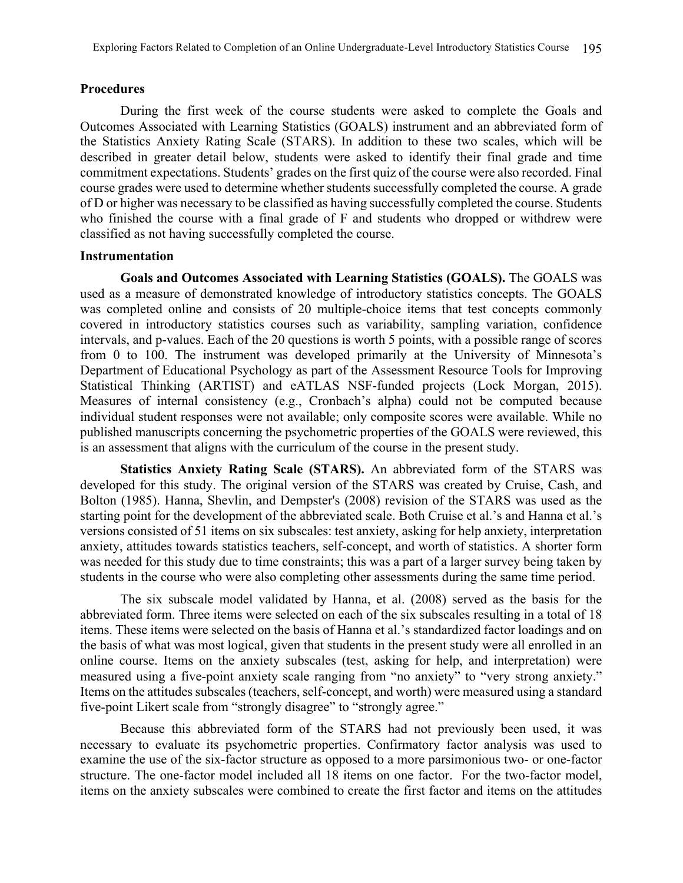# **Procedures**

During the first week of the course students were asked to complete the Goals and Outcomes Associated with Learning Statistics (GOALS) instrument and an abbreviated form of the Statistics Anxiety Rating Scale (STARS). In addition to these two scales, which will be described in greater detail below, students were asked to identify their final grade and time commitment expectations. Students' grades on the first quiz of the course were also recorded. Final course grades were used to determine whether students successfully completed the course. A grade of D or higher was necessary to be classified as having successfully completed the course. Students who finished the course with a final grade of F and students who dropped or withdrew were classified as not having successfully completed the course.

## **Instrumentation**

**Goals and Outcomes Associated with Learning Statistics (GOALS).** The GOALS was used as a measure of demonstrated knowledge of introductory statistics concepts. The GOALS was completed online and consists of 20 multiple-choice items that test concepts commonly covered in introductory statistics courses such as variability, sampling variation, confidence intervals, and p-values. Each of the 20 questions is worth 5 points, with a possible range of scores from 0 to 100. The instrument was developed primarily at the University of Minnesota's Department of Educational Psychology as part of the Assessment Resource Tools for Improving Statistical Thinking (ARTIST) and eATLAS NSF-funded projects (Lock Morgan, 2015). Measures of internal consistency (e.g., Cronbach's alpha) could not be computed because individual student responses were not available; only composite scores were available. While no published manuscripts concerning the psychometric properties of the GOALS were reviewed, this is an assessment that aligns with the curriculum of the course in the present study.

**Statistics Anxiety Rating Scale (STARS).** An abbreviated form of the STARS was developed for this study. The original version of the STARS was created by Cruise, Cash, and Bolton (1985). Hanna, Shevlin, and Dempster's (2008) revision of the STARS was used as the starting point for the development of the abbreviated scale. Both Cruise et al.'s and Hanna et al.'s versions consisted of 51 items on six subscales: test anxiety, asking for help anxiety, interpretation anxiety, attitudes towards statistics teachers, self-concept, and worth of statistics. A shorter form was needed for this study due to time constraints; this was a part of a larger survey being taken by students in the course who were also completing other assessments during the same time period.

The six subscale model validated by Hanna, et al. (2008) served as the basis for the abbreviated form. Three items were selected on each of the six subscales resulting in a total of 18 items. These items were selected on the basis of Hanna et al.'s standardized factor loadings and on the basis of what was most logical, given that students in the present study were all enrolled in an online course. Items on the anxiety subscales (test, asking for help, and interpretation) were measured using a five-point anxiety scale ranging from "no anxiety" to "very strong anxiety." Items on the attitudes subscales (teachers, self-concept, and worth) were measured using a standard five-point Likert scale from "strongly disagree" to "strongly agree."

Because this abbreviated form of the STARS had not previously been used, it was necessary to evaluate its psychometric properties. Confirmatory factor analysis was used to examine the use of the six-factor structure as opposed to a more parsimonious two- or one-factor structure. The one-factor model included all 18 items on one factor. For the two-factor model, items on the anxiety subscales were combined to create the first factor and items on the attitudes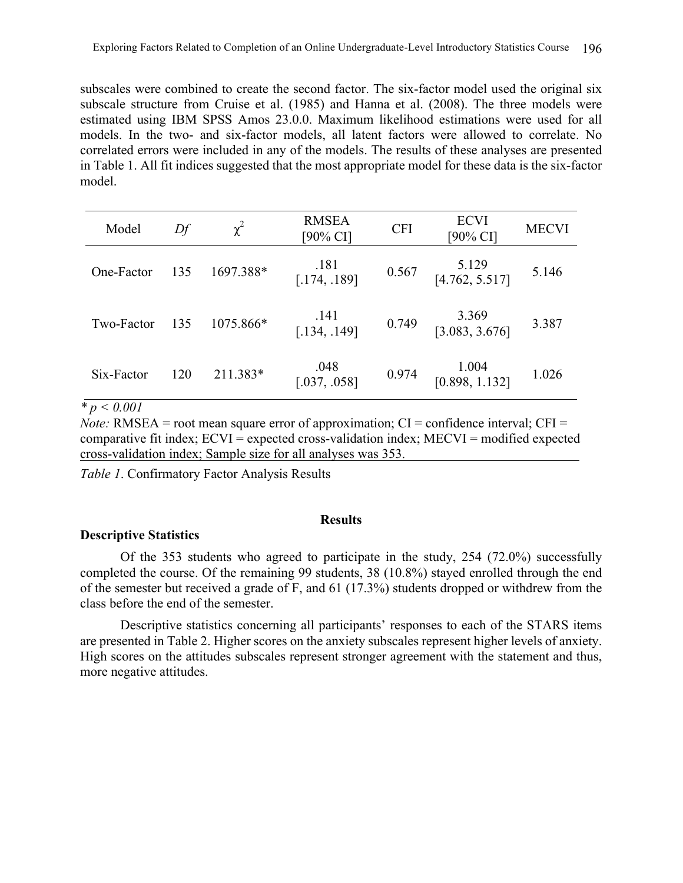subscales were combined to create the second factor. The six-factor model used the original six subscale structure from Cruise et al. (1985) and Hanna et al. (2008). The three models were estimated using IBM SPSS Amos 23.0.0. Maximum likelihood estimations were used for all models. In the two- and six-factor models, all latent factors were allowed to correlate. No correlated errors were included in any of the models. The results of these analyses are presented in Table 1. All fit indices suggested that the most appropriate model for these data is the six-factor model.

| Model      | Df  | $\chi^2$  | <b>RMSEA</b><br>$[90\% \text{ CI}]$ | <b>CFI</b> | <b>ECVI</b><br>$[90\% \text{ CI}]$ | <b>MECVI</b> |
|------------|-----|-----------|-------------------------------------|------------|------------------------------------|--------------|
| One-Factor | 135 | 1697.388* | .181<br>[.174, .189]                | 0.567      | $5.129$<br>[4.762, 5.517]          | 5.146        |
| Two-Factor | 135 | 1075.866* | .141<br>[.134, .149]                | 0.749      | 3.369<br>[3.083, 3.676]            | 3.387        |
| Six-Factor | 120 | 211.383*  | .048<br>[.037, .058]                | 0.974      | 1.004<br>[0.898, 1.132]            | 1.026        |

*\* p < 0.001*

*Note:* RMSEA = root mean square error of approximation;  $CI =$  confidence interval;  $CFI =$ comparative fit index; ECVI = expected cross-validation index; MECVI = modified expected cross-validation index; Sample size for all analyses was 353.

*Table 1*. Confirmatory Factor Analysis Results

## **Results**

## **Descriptive Statistics**

Of the 353 students who agreed to participate in the study, 254 (72.0%) successfully completed the course. Of the remaining 99 students, 38 (10.8%) stayed enrolled through the end of the semester but received a grade of F, and 61 (17.3%) students dropped or withdrew from the class before the end of the semester.

Descriptive statistics concerning all participants' responses to each of the STARS items are presented in Table 2. Higher scores on the anxiety subscales represent higher levels of anxiety. High scores on the attitudes subscales represent stronger agreement with the statement and thus, more negative attitudes.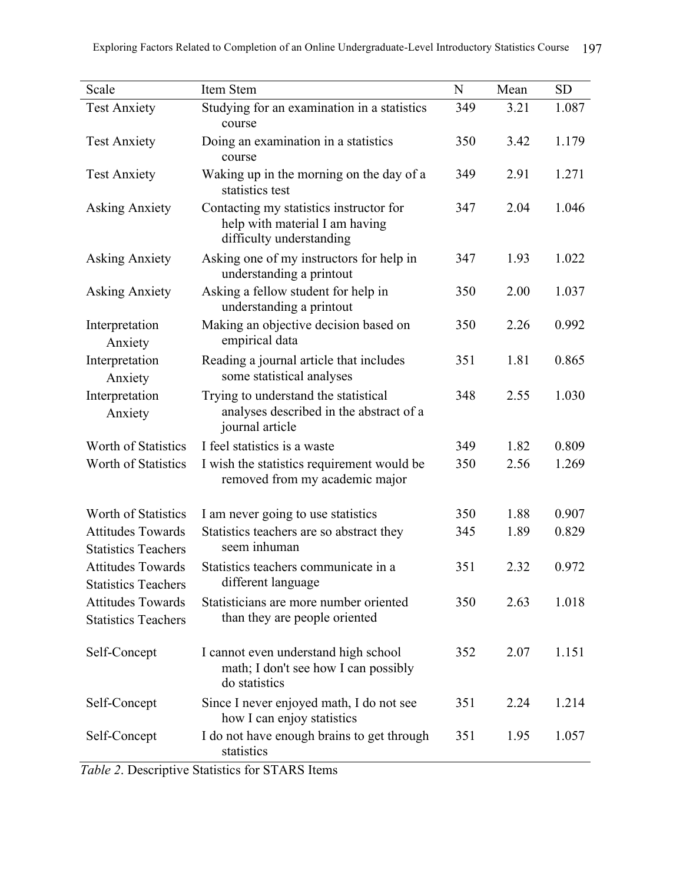| Scale                                                  | Item Stem                                                                                             | N   | Mean | <b>SD</b> |
|--------------------------------------------------------|-------------------------------------------------------------------------------------------------------|-----|------|-----------|
| <b>Test Anxiety</b>                                    | Studying for an examination in a statistics<br>course                                                 | 349 | 3.21 | 1.087     |
| <b>Test Anxiety</b>                                    | Doing an examination in a statistics<br>course                                                        | 350 | 3.42 | 1.179     |
| <b>Test Anxiety</b>                                    | Waking up in the morning on the day of a<br>statistics test                                           | 349 | 2.91 | 1.271     |
| <b>Asking Anxiety</b>                                  | Contacting my statistics instructor for<br>help with material I am having<br>difficulty understanding | 347 | 2.04 | 1.046     |
| <b>Asking Anxiety</b>                                  | Asking one of my instructors for help in<br>understanding a printout                                  | 347 | 1.93 | 1.022     |
| <b>Asking Anxiety</b>                                  | Asking a fellow student for help in<br>understanding a printout                                       | 350 | 2.00 | 1.037     |
| Interpretation<br>Anxiety                              | Making an objective decision based on<br>empirical data                                               | 350 | 2.26 | 0.992     |
| Interpretation<br>Anxiety                              | Reading a journal article that includes<br>some statistical analyses                                  | 351 | 1.81 | 0.865     |
| Interpretation<br>Anxiety                              | Trying to understand the statistical<br>analyses described in the abstract of a<br>journal article    | 348 | 2.55 | 1.030     |
| Worth of Statistics                                    | I feel statistics is a waste                                                                          | 349 | 1.82 | 0.809     |
| Worth of Statistics                                    | I wish the statistics requirement would be<br>removed from my academic major                          | 350 | 2.56 | 1.269     |
| Worth of Statistics                                    | I am never going to use statistics                                                                    | 350 | 1.88 | 0.907     |
| <b>Attitudes Towards</b><br><b>Statistics Teachers</b> | Statistics teachers are so abstract they<br>seem inhuman                                              | 345 | 1.89 | 0.829     |
| <b>Attitudes Towards</b><br><b>Statistics Teachers</b> | Statistics teachers communicate in a<br>different language                                            | 351 | 2.32 | 0.972     |
| <b>Attitudes Towards</b><br><b>Statistics Teachers</b> | Statisticians are more number oriented<br>than they are people oriented                               | 350 | 2.63 | 1.018     |
| Self-Concept                                           | I cannot even understand high school<br>math; I don't see how I can possibly<br>do statistics         | 352 | 2.07 | 1.151     |
| Self-Concept                                           | Since I never enjoyed math, I do not see<br>how I can enjoy statistics                                | 351 | 2.24 | 1.214     |
| Self-Concept                                           | I do not have enough brains to get through<br>statistics                                              | 351 | 1.95 | 1.057     |

*Table 2*. Descriptive Statistics for STARS Items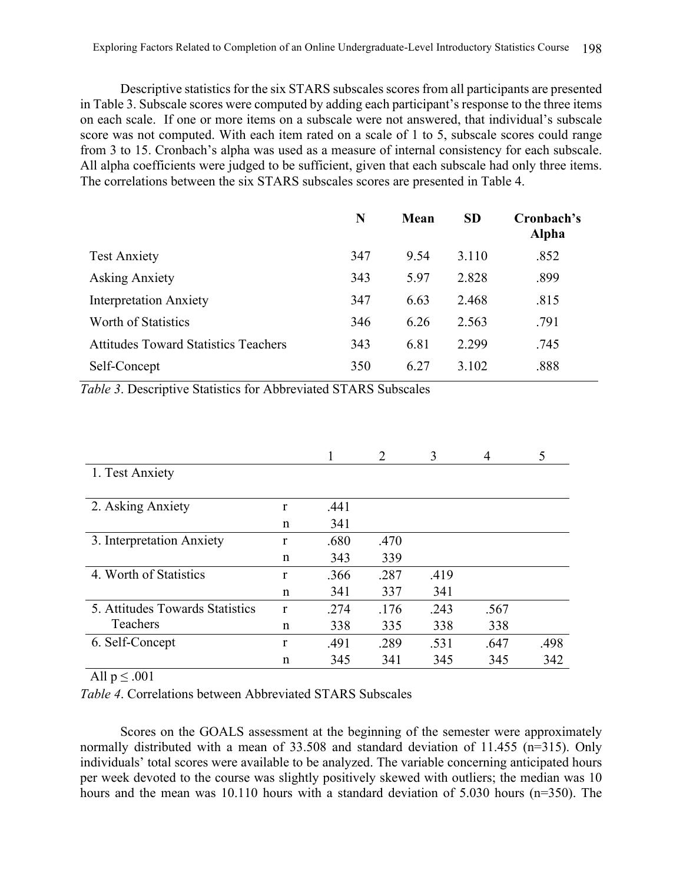Descriptive statistics for the six STARS subscales scores from all participants are presented in Table 3. Subscale scores were computed by adding each participant's response to the three items on each scale. If one or more items on a subscale were not answered, that individual's subscale score was not computed. With each item rated on a scale of 1 to 5, subscale scores could range from 3 to 15. Cronbach's alpha was used as a measure of internal consistency for each subscale. All alpha coefficients were judged to be sufficient, given that each subscale had only three items. The correlations between the six STARS subscales scores are presented in Table 4.

|                                             | N   | <b>Mean</b> | <b>SD</b> | Cronbach's<br><b>Alpha</b> |
|---------------------------------------------|-----|-------------|-----------|----------------------------|
| <b>Test Anxiety</b>                         | 347 | 9.54        | 3.110     | .852                       |
| <b>Asking Anxiety</b>                       | 343 | 5.97        | 2.828     | .899                       |
| <b>Interpretation Anxiety</b>               | 347 | 6.63        | 2.468     | .815                       |
| Worth of Statistics                         | 346 | 6.26        | 2.563     | .791                       |
| <b>Attitudes Toward Statistics Teachers</b> | 343 | 6.81        | 2.299     | .745                       |
| Self-Concept                                | 350 | 6.27        | 3.102     | .888                       |

*Table 3*. Descriptive Statistics for Abbreviated STARS Subscales

|                                 |              |      | $\mathcal{D}_{\mathcal{L}}$ | 3    | 4    | 5    |
|---------------------------------|--------------|------|-----------------------------|------|------|------|
| 1. Test Anxiety                 |              |      |                             |      |      |      |
|                                 |              |      |                             |      |      |      |
| 2. Asking Anxiety               | $\mathbf{r}$ | .441 |                             |      |      |      |
|                                 | n            | 341  |                             |      |      |      |
| 3. Interpretation Anxiety       | r            | .680 | .470                        |      |      |      |
|                                 | n            | 343  | 339                         |      |      |      |
| 4. Worth of Statistics          | r            | .366 | .287                        | .419 |      |      |
|                                 | n            | 341  | 337                         | 341  |      |      |
| 5. Attitudes Towards Statistics | r            | .274 | .176                        | .243 | .567 |      |
| Teachers                        | n            | 338  | 335                         | 338  | 338  |      |
| 6. Self-Concept                 | r            | .491 | .289                        | .531 | .647 | .498 |
|                                 | $\mathsf{n}$ | 345  | 341                         | 345  | 345  | 342  |

All  $p \leq .001$ 

*Table 4*. Correlations between Abbreviated STARS Subscales

Scores on the GOALS assessment at the beginning of the semester were approximately normally distributed with a mean of 33.508 and standard deviation of 11.455 (n=315). Only individuals' total scores were available to be analyzed. The variable concerning anticipated hours per week devoted to the course was slightly positively skewed with outliers; the median was 10 hours and the mean was 10.110 hours with a standard deviation of 5.030 hours (n=350). The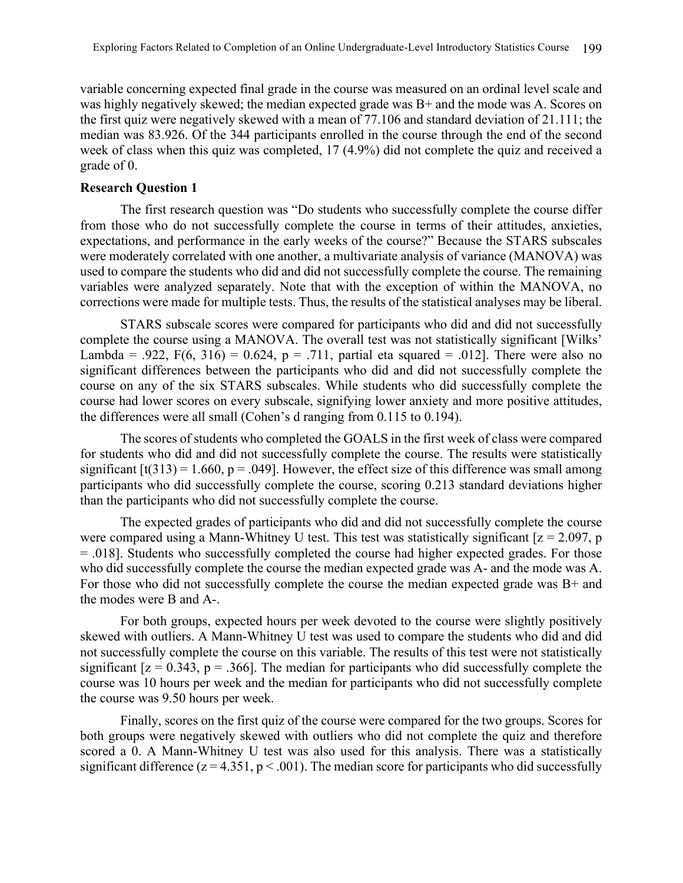variable concerning expected final grade in the course was measured on an ordinal level scale and was highly negatively skewed; the median expected grade was B+ and the mode was A. Scores on the first quiz were negatively skewed with a mean of 77.106 and standard deviation of 21.111; the median was 83.926. Of the 344 participants enrolled in the course through the end of the second week of class when this quiz was completed, 17 (4.9%) did not complete the quiz and received a grade of 0.

# **Research Question 1**

The first research question was "Do students who successfully complete the course differ from those who do not successfully complete the course in terms of their attitudes, anxieties, expectations, and performance in the early weeks of the course?" Because the STARS subscales were moderately correlated with one another, a multivariate analysis of variance (MANOVA) was used to compare the students who did and did not successfully complete the course. The remaining variables were analyzed separately. Note that with the exception of within the MANOVA, no corrections were made for multiple tests. Thus, the results of the statistical analyses may be liberal.

STARS subscale scores were compared for participants who did and did not successfully complete the course using a MANOVA. The overall test was not statistically significant [Wilks' Lambda = .922,  $F(6, 316) = 0.624$ , p = .711, partial eta squared = .012]. There were also no significant differences between the participants who did and did not successfully complete the course on any of the six STARS subscales. While students who did successfully complete the course had lower scores on every subscale, signifying lower anxiety and more positive attitudes, the differences were all small (Cohen's d ranging from 0.115 to 0.194).

The scores of students who completed the GOALS in the first week of class were compared for students who did and did not successfully complete the course. The results were statistically significant  $[t(313) = 1.660, p = .049]$ . However, the effect size of this difference was small among participants who did successfully complete the course, scoring 0.213 standard deviations higher than the participants who did not successfully complete the course.

The expected grades of participants who did and did not successfully complete the course were compared using a Mann-Whitney U test. This test was statistically significant  $[z = 2.097, p$ = .018]. Students who successfully completed the course had higher expected grades. For those who did successfully complete the course the median expected grade was A- and the mode was A. For those who did not successfully complete the course the median expected grade was B+ and the modes were B and A-.

For both groups, expected hours per week devoted to the course were slightly positively skewed with outliers. A Mann-Whitney U test was used to compare the students who did and did not successfully complete the course on this variable. The results of this test were not statistically significant  $[z = 0.343, p = .366]$ . The median for participants who did successfully complete the course was 10 hours per week and the median for participants who did not successfully complete the course was 9.50 hours per week.

Finally, scores on the first quiz of the course were compared for the two groups. Scores for both groups were negatively skewed with outliers who did not complete the quiz and therefore scored a 0. A Mann-Whitney U test was also used for this analysis. There was a statistically significant difference ( $z = 4.351$ ,  $p < .001$ ). The median score for participants who did successfully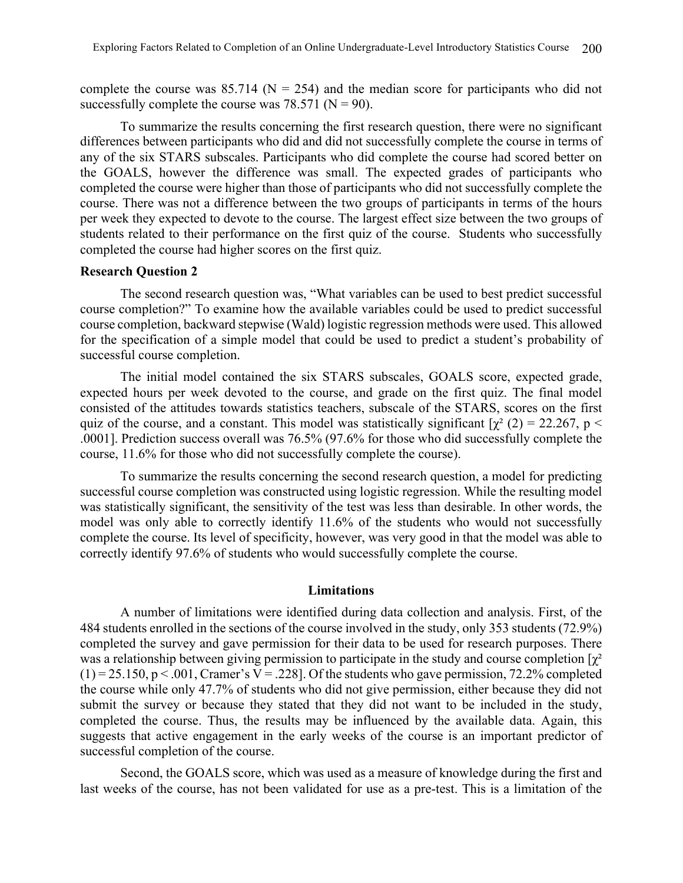complete the course was  $85.714$  (N = 254) and the median score for participants who did not successfully complete the course was  $78.571$  (N = 90).

To summarize the results concerning the first research question, there were no significant differences between participants who did and did not successfully complete the course in terms of any of the six STARS subscales. Participants who did complete the course had scored better on the GOALS, however the difference was small. The expected grades of participants who completed the course were higher than those of participants who did not successfully complete the course. There was not a difference between the two groups of participants in terms of the hours per week they expected to devote to the course. The largest effect size between the two groups of students related to their performance on the first quiz of the course. Students who successfully completed the course had higher scores on the first quiz.

## **Research Question 2**

The second research question was, "What variables can be used to best predict successful course completion?" To examine how the available variables could be used to predict successful course completion, backward stepwise (Wald) logistic regression methods were used. This allowed for the specification of a simple model that could be used to predict a student's probability of successful course completion.

The initial model contained the six STARS subscales, GOALS score, expected grade, expected hours per week devoted to the course, and grade on the first quiz. The final model consisted of the attitudes towards statistics teachers, subscale of the STARS, scores on the first quiz of the course, and a constant. This model was statistically significant  $[\chi^2 (2) = 22.267, p <$ .0001]. Prediction success overall was 76.5% (97.6% for those who did successfully complete the course, 11.6% for those who did not successfully complete the course).

To summarize the results concerning the second research question, a model for predicting successful course completion was constructed using logistic regression. While the resulting model was statistically significant, the sensitivity of the test was less than desirable. In other words, the model was only able to correctly identify 11.6% of the students who would not successfully complete the course. Its level of specificity, however, was very good in that the model was able to correctly identify 97.6% of students who would successfully complete the course.

## **Limitations**

A number of limitations were identified during data collection and analysis. First, of the 484 students enrolled in the sections of the course involved in the study, only 353 students (72.9%) completed the survey and gave permission for their data to be used for research purposes. There was a relationship between giving permission to participate in the study and course completion  $[\chi^2]$  $(1) = 25.150$ , p < .001, Cramer's V = .228]. Of the students who gave permission, 72.2% completed the course while only 47.7% of students who did not give permission, either because they did not submit the survey or because they stated that they did not want to be included in the study, completed the course. Thus, the results may be influenced by the available data. Again, this suggests that active engagement in the early weeks of the course is an important predictor of successful completion of the course.

Second, the GOALS score, which was used as a measure of knowledge during the first and last weeks of the course, has not been validated for use as a pre-test. This is a limitation of the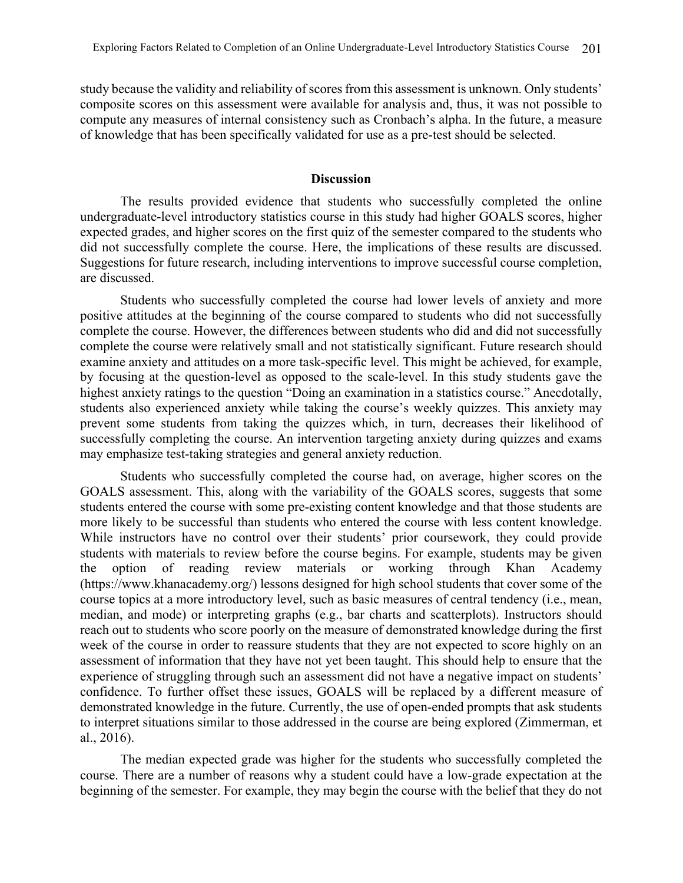study because the validity and reliability of scores from this assessment is unknown. Only students' composite scores on this assessment were available for analysis and, thus, it was not possible to compute any measures of internal consistency such as Cronbach's alpha. In the future, a measure of knowledge that has been specifically validated for use as a pre-test should be selected.

# **Discussion**

The results provided evidence that students who successfully completed the online undergraduate-level introductory statistics course in this study had higher GOALS scores, higher expected grades, and higher scores on the first quiz of the semester compared to the students who did not successfully complete the course. Here, the implications of these results are discussed. Suggestions for future research, including interventions to improve successful course completion, are discussed.

Students who successfully completed the course had lower levels of anxiety and more positive attitudes at the beginning of the course compared to students who did not successfully complete the course. However, the differences between students who did and did not successfully complete the course were relatively small and not statistically significant. Future research should examine anxiety and attitudes on a more task-specific level. This might be achieved, for example, by focusing at the question-level as opposed to the scale-level. In this study students gave the highest anxiety ratings to the question "Doing an examination in a statistics course." Anecdotally, students also experienced anxiety while taking the course's weekly quizzes. This anxiety may prevent some students from taking the quizzes which, in turn, decreases their likelihood of successfully completing the course. An intervention targeting anxiety during quizzes and exams may emphasize test-taking strategies and general anxiety reduction.

Students who successfully completed the course had, on average, higher scores on the GOALS assessment. This, along with the variability of the GOALS scores, suggests that some students entered the course with some pre-existing content knowledge and that those students are more likely to be successful than students who entered the course with less content knowledge. While instructors have no control over their students' prior coursework, they could provide students with materials to review before the course begins. For example, students may be given the option of reading review materials or working through Khan Academy (https://www.khanacademy.org/) lessons designed for high school students that cover some of the course topics at a more introductory level, such as basic measures of central tendency (i.e., mean, median, and mode) or interpreting graphs (e.g., bar charts and scatterplots). Instructors should reach out to students who score poorly on the measure of demonstrated knowledge during the first week of the course in order to reassure students that they are not expected to score highly on an assessment of information that they have not yet been taught. This should help to ensure that the experience of struggling through such an assessment did not have a negative impact on students' confidence. To further offset these issues, GOALS will be replaced by a different measure of demonstrated knowledge in the future. Currently, the use of open-ended prompts that ask students to interpret situations similar to those addressed in the course are being explored (Zimmerman, et al., 2016).

The median expected grade was higher for the students who successfully completed the course. There are a number of reasons why a student could have a low-grade expectation at the beginning of the semester. For example, they may begin the course with the belief that they do not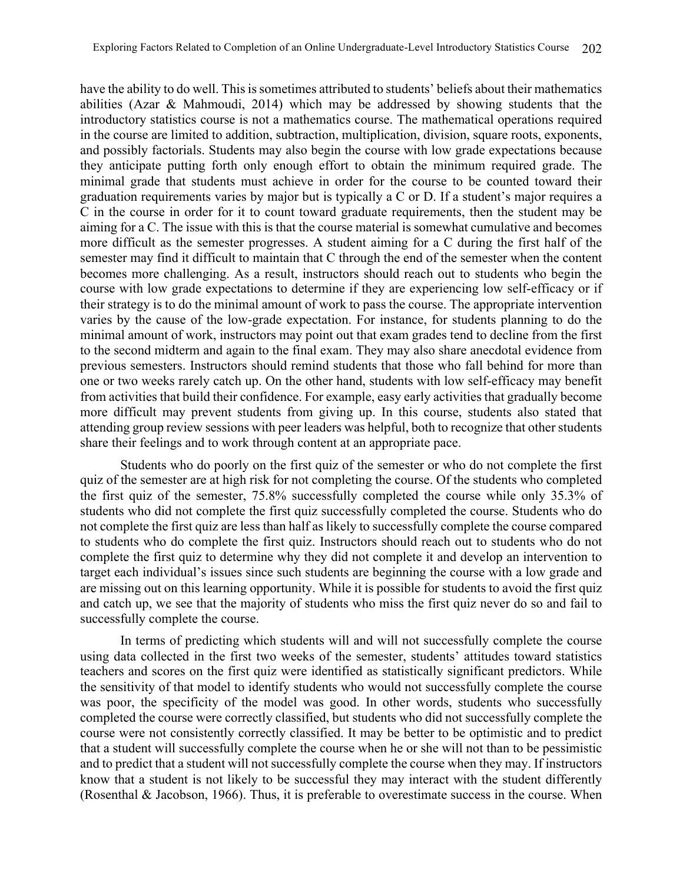have the ability to do well. This is sometimes attributed to students' beliefs about their mathematics abilities (Azar & Mahmoudi, 2014) which may be addressed by showing students that the introductory statistics course is not a mathematics course. The mathematical operations required in the course are limited to addition, subtraction, multiplication, division, square roots, exponents, and possibly factorials. Students may also begin the course with low grade expectations because they anticipate putting forth only enough effort to obtain the minimum required grade. The minimal grade that students must achieve in order for the course to be counted toward their graduation requirements varies by major but is typically a C or D. If a student's major requires a C in the course in order for it to count toward graduate requirements, then the student may be aiming for a C. The issue with this is that the course material is somewhat cumulative and becomes more difficult as the semester progresses. A student aiming for a C during the first half of the semester may find it difficult to maintain that C through the end of the semester when the content becomes more challenging. As a result, instructors should reach out to students who begin the course with low grade expectations to determine if they are experiencing low self-efficacy or if their strategy is to do the minimal amount of work to pass the course. The appropriate intervention varies by the cause of the low-grade expectation. For instance, for students planning to do the minimal amount of work, instructors may point out that exam grades tend to decline from the first to the second midterm and again to the final exam. They may also share anecdotal evidence from previous semesters. Instructors should remind students that those who fall behind for more than one or two weeks rarely catch up. On the other hand, students with low self-efficacy may benefit from activities that build their confidence. For example, easy early activities that gradually become more difficult may prevent students from giving up. In this course, students also stated that attending group review sessions with peer leaders was helpful, both to recognize that other students share their feelings and to work through content at an appropriate pace.

Students who do poorly on the first quiz of the semester or who do not complete the first quiz of the semester are at high risk for not completing the course. Of the students who completed the first quiz of the semester, 75.8% successfully completed the course while only 35.3% of students who did not complete the first quiz successfully completed the course. Students who do not complete the first quiz are less than half as likely to successfully complete the course compared to students who do complete the first quiz. Instructors should reach out to students who do not complete the first quiz to determine why they did not complete it and develop an intervention to target each individual's issues since such students are beginning the course with a low grade and are missing out on this learning opportunity. While it is possible for students to avoid the first quiz and catch up, we see that the majority of students who miss the first quiz never do so and fail to successfully complete the course.

In terms of predicting which students will and will not successfully complete the course using data collected in the first two weeks of the semester, students' attitudes toward statistics teachers and scores on the first quiz were identified as statistically significant predictors. While the sensitivity of that model to identify students who would not successfully complete the course was poor, the specificity of the model was good. In other words, students who successfully completed the course were correctly classified, but students who did not successfully complete the course were not consistently correctly classified. It may be better to be optimistic and to predict that a student will successfully complete the course when he or she will not than to be pessimistic and to predict that a student will not successfully complete the course when they may. If instructors know that a student is not likely to be successful they may interact with the student differently (Rosenthal & Jacobson, 1966). Thus, it is preferable to overestimate success in the course. When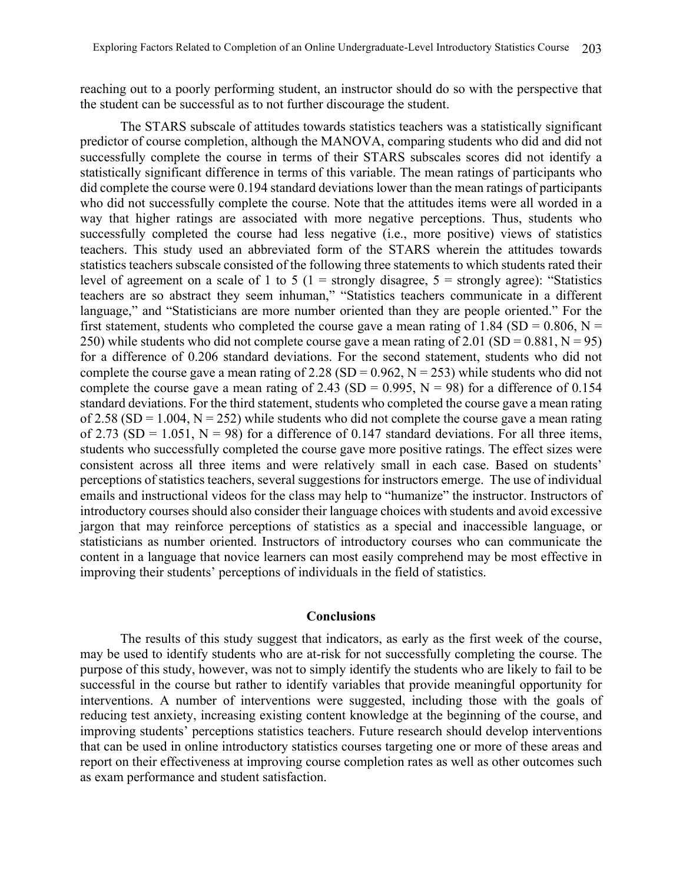reaching out to a poorly performing student, an instructor should do so with the perspective that the student can be successful as to not further discourage the student.

The STARS subscale of attitudes towards statistics teachers was a statistically significant predictor of course completion, although the MANOVA, comparing students who did and did not successfully complete the course in terms of their STARS subscales scores did not identify a statistically significant difference in terms of this variable. The mean ratings of participants who did complete the course were 0.194 standard deviations lower than the mean ratings of participants who did not successfully complete the course. Note that the attitudes items were all worded in a way that higher ratings are associated with more negative perceptions. Thus, students who successfully completed the course had less negative (i.e., more positive) views of statistics teachers. This study used an abbreviated form of the STARS wherein the attitudes towards statistics teachers subscale consisted of the following three statements to which students rated their level of agreement on a scale of 1 to 5 ( $1 =$  strongly disagree,  $5 =$  strongly agree): "Statistics teachers are so abstract they seem inhuman," "Statistics teachers communicate in a different language," and "Statisticians are more number oriented than they are people oriented." For the first statement, students who completed the course gave a mean rating of 1.84 (SD = 0.806, N = 250) while students who did not complete course gave a mean rating of 2.01 (SD =  $0.881$ , N = 95) for a difference of 0.206 standard deviations. For the second statement, students who did not complete the course gave a mean rating of 2.28 (SD =  $0.962$ , N = 253) while students who did not complete the course gave a mean rating of 2.43 (SD = 0.995, N = 98) for a difference of 0.154 standard deviations. For the third statement, students who completed the course gave a mean rating of 2.58 (SD = 1.004, N = 252) while students who did not complete the course gave a mean rating of 2.73 (SD = 1.051, N = 98) for a difference of 0.147 standard deviations. For all three items, students who successfully completed the course gave more positive ratings. The effect sizes were consistent across all three items and were relatively small in each case. Based on students' perceptions of statistics teachers, several suggestions for instructors emerge. The use of individual emails and instructional videos for the class may help to "humanize" the instructor. Instructors of introductory courses should also consider their language choices with students and avoid excessive jargon that may reinforce perceptions of statistics as a special and inaccessible language, or statisticians as number oriented. Instructors of introductory courses who can communicate the content in a language that novice learners can most easily comprehend may be most effective in improving their students' perceptions of individuals in the field of statistics.

#### **Conclusions**

The results of this study suggest that indicators, as early as the first week of the course, may be used to identify students who are at-risk for not successfully completing the course. The purpose of this study, however, was not to simply identify the students who are likely to fail to be successful in the course but rather to identify variables that provide meaningful opportunity for interventions. A number of interventions were suggested, including those with the goals of reducing test anxiety, increasing existing content knowledge at the beginning of the course, and improving students' perceptions statistics teachers. Future research should develop interventions that can be used in online introductory statistics courses targeting one or more of these areas and report on their effectiveness at improving course completion rates as well as other outcomes such as exam performance and student satisfaction.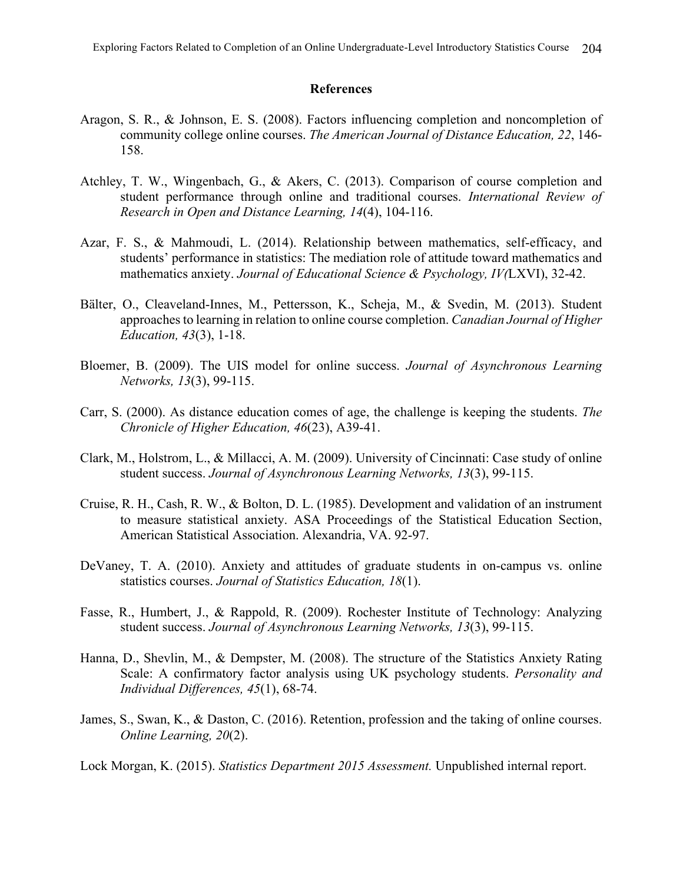#### **References**

- Aragon, S. R., & Johnson, E. S. (2008). Factors influencing completion and noncompletion of community college online courses. *The American Journal of Distance Education, 22*, 146- 158.
- Atchley, T. W., Wingenbach, G., & Akers, C. (2013). Comparison of course completion and student performance through online and traditional courses. *International Review of Research in Open and Distance Learning, 14*(4), 104-116.
- Azar, F. S., & Mahmoudi, L. (2014). Relationship between mathematics, self-efficacy, and students' performance in statistics: The mediation role of attitude toward mathematics and mathematics anxiety. *Journal of Educational Science & Psychology, IV(*LXVI), 32-42.
- Bälter, O., Cleaveland-Innes, M., Pettersson, K., Scheja, M., & Svedin, M. (2013). Student approaches to learning in relation to online course completion. *Canadian Journal of Higher Education, 43*(3), 1-18.
- Bloemer, B. (2009). The UIS model for online success. *Journal of Asynchronous Learning Networks, 13*(3), 99-115.
- Carr, S. (2000). As distance education comes of age, the challenge is keeping the students. *The Chronicle of Higher Education, 46*(23), A39-41.
- Clark, M., Holstrom, L., & Millacci, A. M. (2009). University of Cincinnati: Case study of online student success. *Journal of Asynchronous Learning Networks, 13*(3), 99-115.
- Cruise, R. H., Cash, R. W., & Bolton, D. L. (1985). Development and validation of an instrument to measure statistical anxiety. ASA Proceedings of the Statistical Education Section, American Statistical Association. Alexandria, VA. 92-97.
- DeVaney, T. A. (2010). Anxiety and attitudes of graduate students in on-campus vs. online statistics courses. *Journal of Statistics Education, 18*(1).
- Fasse, R., Humbert, J., & Rappold, R. (2009). Rochester Institute of Technology: Analyzing student success. *Journal of Asynchronous Learning Networks, 13*(3), 99-115.
- Hanna, D., Shevlin, M., & Dempster, M. (2008). The structure of the Statistics Anxiety Rating Scale: A confirmatory factor analysis using UK psychology students. *Personality and Individual Differences, 45*(1), 68-74.
- James, S., Swan, K., & Daston, C. (2016). Retention, profession and the taking of online courses. *Online Learning, 20*(2).

Lock Morgan, K. (2015). *Statistics Department 2015 Assessment.* Unpublished internal report.